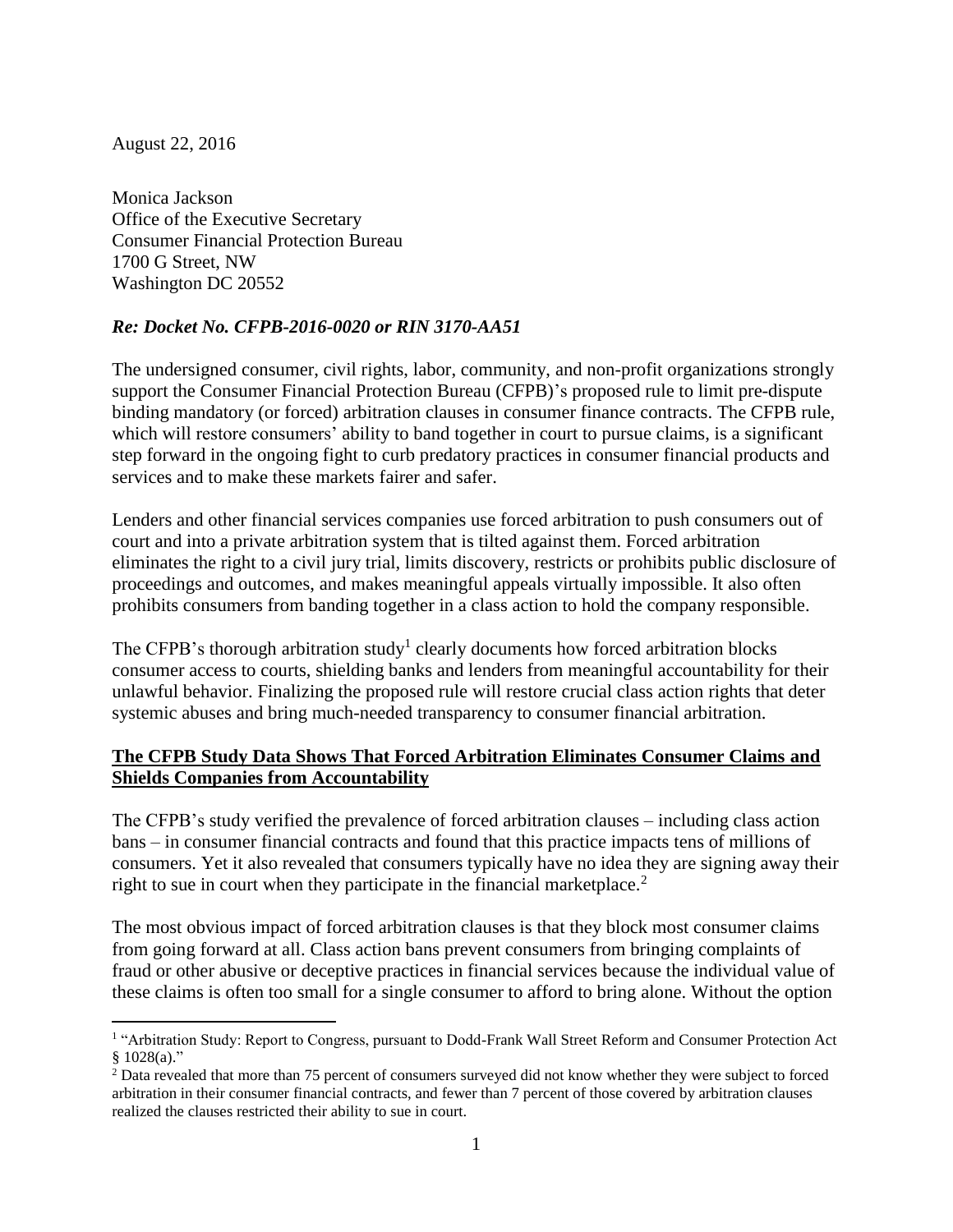August 22, 2016

 $\overline{a}$ 

Monica Jackson Office of the Executive Secretary Consumer Financial Protection Bureau 1700 G Street, NW Washington DC 20552

## *Re: Docket No. CFPB-2016-0020 or RIN 3170-AA51*

The undersigned consumer, civil rights, labor, community, and non-profit organizations strongly support the Consumer Financial Protection Bureau (CFPB)'s proposed rule to limit pre-dispute binding mandatory (or forced) arbitration clauses in consumer finance contracts. The CFPB rule, which will restore consumers' ability to band together in court to pursue claims, is a significant step forward in the ongoing fight to curb predatory practices in consumer financial products and services and to make these markets fairer and safer.

Lenders and other financial services companies use forced arbitration to push consumers out of court and into a private arbitration system that is tilted against them. Forced arbitration eliminates the right to a civil jury trial, limits discovery, restricts or prohibits public disclosure of proceedings and outcomes, and makes meaningful appeals virtually impossible. It also often prohibits consumers from banding together in a class action to hold the company responsible.

The CFPB's thorough arbitration study<sup>1</sup> clearly documents how forced arbitration blocks consumer access to courts, shielding banks and lenders from meaningful accountability for their unlawful behavior. Finalizing the proposed rule will restore crucial class action rights that deter systemic abuses and bring much-needed transparency to consumer financial arbitration.

## **The CFPB Study Data Shows That Forced Arbitration Eliminates Consumer Claims and Shields Companies from Accountability**

The CFPB's study verified the prevalence of forced arbitration clauses – including class action bans – in consumer financial contracts and found that this practice impacts tens of millions of consumers. Yet it also revealed that consumers typically have no idea they are signing away their right to sue in court when they participate in the financial marketplace.<sup>2</sup>

The most obvious impact of forced arbitration clauses is that they block most consumer claims from going forward at all. Class action bans prevent consumers from bringing complaints of fraud or other abusive or deceptive practices in financial services because the individual value of these claims is often too small for a single consumer to afford to bring alone. Without the option

<sup>&</sup>lt;sup>1</sup> "Arbitration Study: Report to Congress, pursuant to Dodd-Frank Wall Street Reform and Consumer Protection Act  $§ 1028(a)."$ 

<sup>&</sup>lt;sup>2</sup> Data revealed that more than 75 percent of consumers surveyed did not know whether they were subject to forced arbitration in their consumer financial contracts, and fewer than 7 percent of those covered by arbitration clauses realized the clauses restricted their ability to sue in court.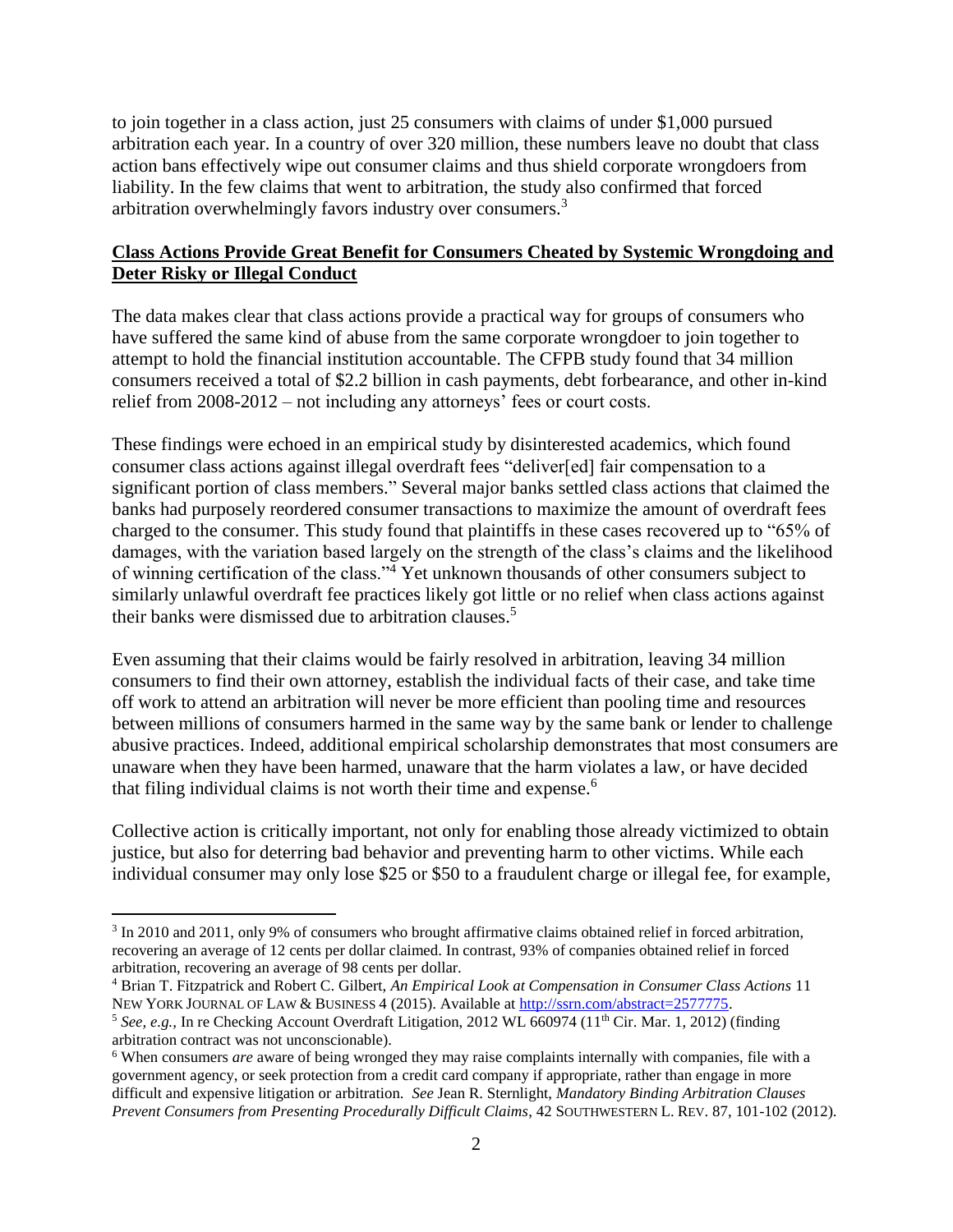to join together in a class action, just 25 consumers with claims of under \$1,000 pursued arbitration each year. In a country of over 320 million, these numbers leave no doubt that class action bans effectively wipe out consumer claims and thus shield corporate wrongdoers from liability. In the few claims that went to arbitration, the study also confirmed that forced arbitration overwhelmingly favors industry over consumers.<sup>3</sup>

# **Class Actions Provide Great Benefit for Consumers Cheated by Systemic Wrongdoing and Deter Risky or Illegal Conduct**

The data makes clear that class actions provide a practical way for groups of consumers who have suffered the same kind of abuse from the same corporate wrongdoer to join together to attempt to hold the financial institution accountable. The CFPB study found that 34 million consumers received a total of \$2.2 billion in cash payments, debt forbearance, and other in-kind relief from 2008-2012 – not including any attorneys' fees or court costs.

These findings were echoed in an empirical study by disinterested academics, which found consumer class actions against illegal overdraft fees "deliver[ed] fair compensation to a significant portion of class members." Several major banks settled class actions that claimed the banks had purposely reordered consumer transactions to maximize the amount of overdraft fees charged to the consumer. This study found that plaintiffs in these cases recovered up to "65% of damages, with the variation based largely on the strength of the class's claims and the likelihood of winning certification of the class."<sup>4</sup> Yet unknown thousands of other consumers subject to similarly unlawful overdraft fee practices likely got little or no relief when class actions against their banks were dismissed due to arbitration clauses.<sup>5</sup>

Even assuming that their claims would be fairly resolved in arbitration, leaving 34 million consumers to find their own attorney, establish the individual facts of their case, and take time off work to attend an arbitration will never be more efficient than pooling time and resources between millions of consumers harmed in the same way by the same bank or lender to challenge abusive practices. Indeed, additional empirical scholarship demonstrates that most consumers are unaware when they have been harmed, unaware that the harm violates a law, or have decided that filing individual claims is not worth their time and expense.<sup>6</sup>

Collective action is critically important, not only for enabling those already victimized to obtain justice, but also for deterring bad behavior and preventing harm to other victims. While each individual consumer may only lose \$25 or \$50 to a fraudulent charge or illegal fee, for example,

 $\overline{a}$ <sup>3</sup> In 2010 and 2011, only 9% of consumers who brought affirmative claims obtained relief in forced arbitration, recovering an average of 12 cents per dollar claimed. In contrast, 93% of companies obtained relief in forced arbitration, recovering an average of 98 cents per dollar.

<sup>4</sup> Brian T. Fitzpatrick and Robert C. Gilbert, *An Empirical Look at Compensation in Consumer Class Actions* 11 NEW YORK JOURNAL OF LAW & BUSINESS 4 (2015). Available at [http://ssrn.com/abstract=2577775.](http://ssrn.com/abstract=2577775)

<sup>&</sup>lt;sup>5</sup> See, e.g., In re Checking Account Overdraft Litigation, 2012 WL 660974 (11<sup>th</sup> Cir. Mar. 1, 2012) (finding arbitration contract was not unconscionable).

<sup>6</sup> When consumers *are* aware of being wronged they may raise complaints internally with companies, file with a government agency, or seek protection from a credit card company if appropriate, rather than engage in more difficult and expensive litigation or arbitration. *See* Jean R. Sternlight, *Mandatory Binding Arbitration Clauses Prevent Consumers from Presenting Procedurally Difficult Claims*, 42 SOUTHWESTERN L. REV. 87, 101-102 (2012).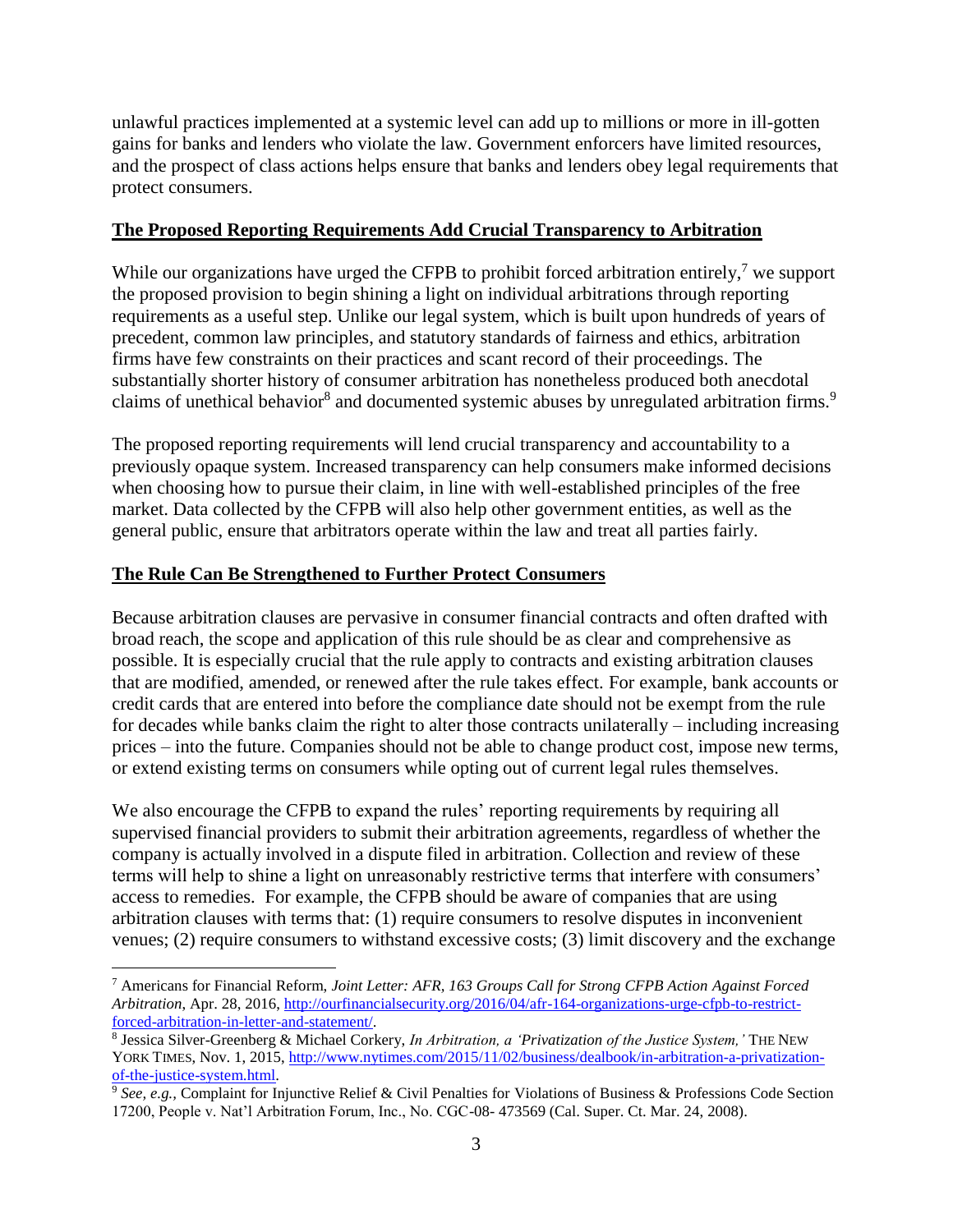unlawful practices implemented at a systemic level can add up to millions or more in ill-gotten gains for banks and lenders who violate the law. Government enforcers have limited resources, and the prospect of class actions helps ensure that banks and lenders obey legal requirements that protect consumers.

## **The Proposed Reporting Requirements Add Crucial Transparency to Arbitration**

While our organizations have urged the CFPB to prohibit forced arbitration entirely,<sup>7</sup> we support the proposed provision to begin shining a light on individual arbitrations through reporting requirements as a useful step. Unlike our legal system, which is built upon hundreds of years of precedent, common law principles, and statutory standards of fairness and ethics, arbitration firms have few constraints on their practices and scant record of their proceedings. The substantially shorter history of consumer arbitration has nonetheless produced both anecdotal claims of unethical behavior<sup>8</sup> and documented systemic abuses by unregulated arbitration firms.<sup>9</sup>

The proposed reporting requirements will lend crucial transparency and accountability to a previously opaque system. Increased transparency can help consumers make informed decisions when choosing how to pursue their claim, in line with well-established principles of the free market. Data collected by the CFPB will also help other government entities, as well as the general public, ensure that arbitrators operate within the law and treat all parties fairly.

## **The Rule Can Be Strengthened to Further Protect Consumers**

Because arbitration clauses are pervasive in consumer financial contracts and often drafted with broad reach, the scope and application of this rule should be as clear and comprehensive as possible. It is especially crucial that the rule apply to contracts and existing arbitration clauses that are modified, amended, or renewed after the rule takes effect. For example, bank accounts or credit cards that are entered into before the compliance date should not be exempt from the rule for decades while banks claim the right to alter those contracts unilaterally – including increasing prices – into the future. Companies should not be able to change product cost, impose new terms, or extend existing terms on consumers while opting out of current legal rules themselves.

We also encourage the CFPB to expand the rules' reporting requirements by requiring all supervised financial providers to submit their arbitration agreements, regardless of whether the company is actually involved in a dispute filed in arbitration. Collection and review of these terms will help to shine a light on unreasonably restrictive terms that interfere with consumers' access to remedies. For example, the CFPB should be aware of companies that are using arbitration clauses with terms that: (1) require consumers to resolve disputes in inconvenient venues; (2) require consumers to withstand excessive costs; (3) limit discovery and the exchange

 $\overline{a}$ <sup>7</sup> Americans for Financial Reform, *Joint Letter: AFR, 163 Groups Call for Strong CFPB Action Against Forced Arbitration*, Apr. 28, 2016[, http://ourfinancialsecurity.org/2016/04/afr-164-organizations-urge-cfpb-to-restrict](http://ourfinancialsecurity.org/2016/04/afr-164-organizations-urge-cfpb-to-restrict-forced-arbitration-in-letter-and-statement/)[forced-arbitration-in-letter-and-statement/.](http://ourfinancialsecurity.org/2016/04/afr-164-organizations-urge-cfpb-to-restrict-forced-arbitration-in-letter-and-statement/)

<sup>8</sup> Jessica Silver-Greenberg & Michael Corkery, *In Arbitration, a 'Privatization of the Justice System,'* THE NEW YORK TIMES, Nov. 1, 2015[, http://www.nytimes.com/2015/11/02/business/dealbook/in-arbitration-a-privatization](http://www.nytimes.com/2015/11/02/business/dealbook/in-arbitration-a-privatization-of-the-justice-system.html)[of-the-justice-system.html.](http://www.nytimes.com/2015/11/02/business/dealbook/in-arbitration-a-privatization-of-the-justice-system.html) 

<sup>9</sup> *See, e.g.,* Complaint for Injunctive Relief & Civil Penalties for Violations of Business & Professions Code Section 17200, People v. Nat'l Arbitration Forum, Inc., No. CGC-08- 473569 (Cal. Super. Ct. Mar. 24, 2008).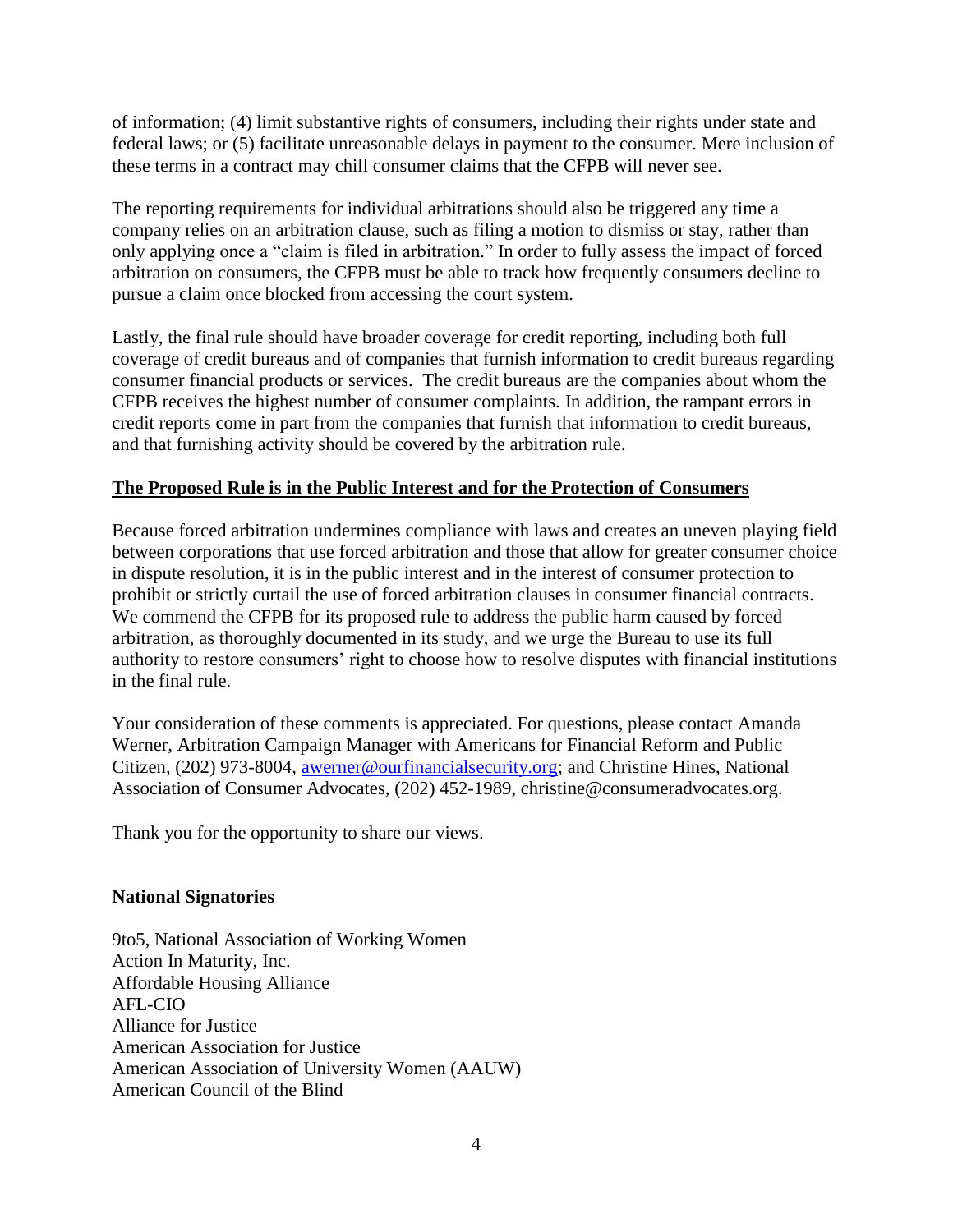of information; (4) limit substantive rights of consumers, including their rights under state and federal laws; or (5) facilitate unreasonable delays in payment to the consumer. Mere inclusion of these terms in a contract may chill consumer claims that the CFPB will never see.

The reporting requirements for individual arbitrations should also be triggered any time a company relies on an arbitration clause, such as filing a motion to dismiss or stay, rather than only applying once a "claim is filed in arbitration." In order to fully assess the impact of forced arbitration on consumers, the CFPB must be able to track how frequently consumers decline to pursue a claim once blocked from accessing the court system.

Lastly, the final rule should have broader coverage for credit reporting, including both full coverage of credit bureaus and of companies that furnish information to credit bureaus regarding consumer financial products or services. The credit bureaus are the companies about whom the CFPB receives the highest number of consumer complaints. In addition, the rampant errors in credit reports come in part from the companies that furnish that information to credit bureaus, and that furnishing activity should be covered by the arbitration rule.

## **The Proposed Rule is in the Public Interest and for the Protection of Consumers**

Because forced arbitration undermines compliance with laws and creates an uneven playing field between corporations that use forced arbitration and those that allow for greater consumer choice in dispute resolution, it is in the public interest and in the interest of consumer protection to prohibit or strictly curtail the use of forced arbitration clauses in consumer financial contracts. We commend the CFPB for its proposed rule to address the public harm caused by forced arbitration, as thoroughly documented in its study, and we urge the Bureau to use its full authority to restore consumers' right to choose how to resolve disputes with financial institutions in the final rule.

Your consideration of these comments is appreciated. For questions, please contact Amanda Werner, Arbitration Campaign Manager with Americans for Financial Reform and Public Citizen, (202) 973-8004, [awerner@ourfinancialsecurity.org;](mailto:awerner@ourfinancialsecurity.org) and Christine Hines, National Association of Consumer Advocates, (202) 452-1989, christine@consumeradvocates.org.

Thank you for the opportunity to share our views.

### **National Signatories**

9to5, National Association of Working Women Action In Maturity, Inc. Affordable Housing Alliance AFL-CIO Alliance for Justice American Association for Justice American Association of University Women (AAUW) American Council of the Blind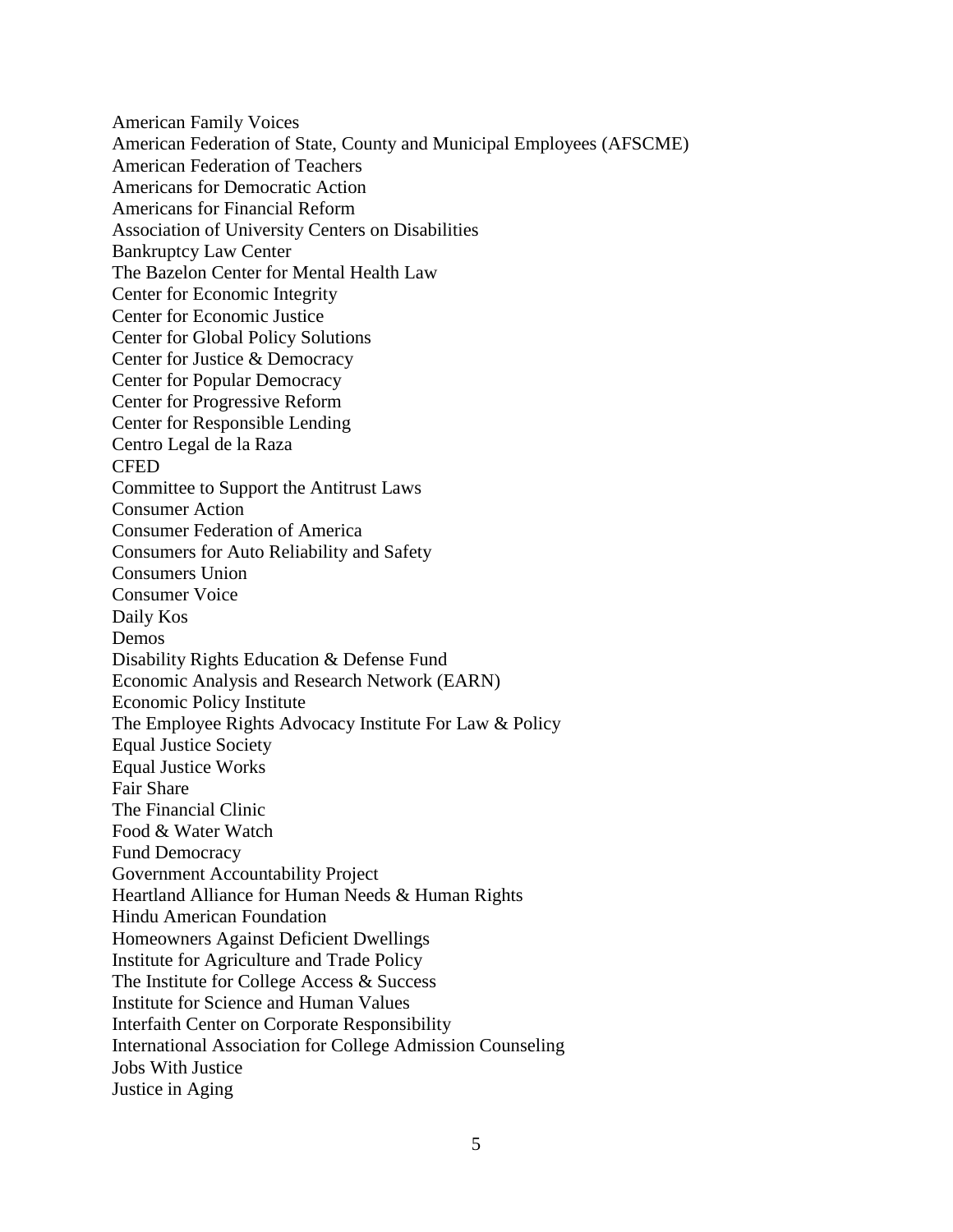American Family Voices American Federation of State, County and Municipal Employees (AFSCME) American Federation of Teachers Americans for Democratic Action Americans for Financial Reform Association of University Centers on Disabilities Bankruptcy Law Center The Bazelon Center for Mental Health Law Center for Economic Integrity Center for Economic Justice Center for Global Policy Solutions Center for Justice & Democracy Center for Popular Democracy Center for Progressive Reform Center for Responsible Lending Centro Legal de la Raza **CFED** Committee to Support the Antitrust Laws Consumer Action Consumer Federation of America Consumers for Auto Reliability and Safety Consumers Union Consumer Voice Daily Kos Demos Disability Rights Education & Defense Fund Economic Analysis and Research Network (EARN) Economic Policy Institute The Employee Rights Advocacy Institute For Law & Policy Equal Justice Society Equal Justice Works Fair Share The Financial Clinic Food & Water Watch Fund Democracy Government Accountability Project Heartland Alliance for Human Needs & Human Rights Hindu American Foundation Homeowners Against Deficient Dwellings Institute for Agriculture and Trade Policy The Institute for College Access & Success Institute for Science and Human Values Interfaith Center on Corporate Responsibility International Association for College Admission Counseling Jobs With Justice Justice in Aging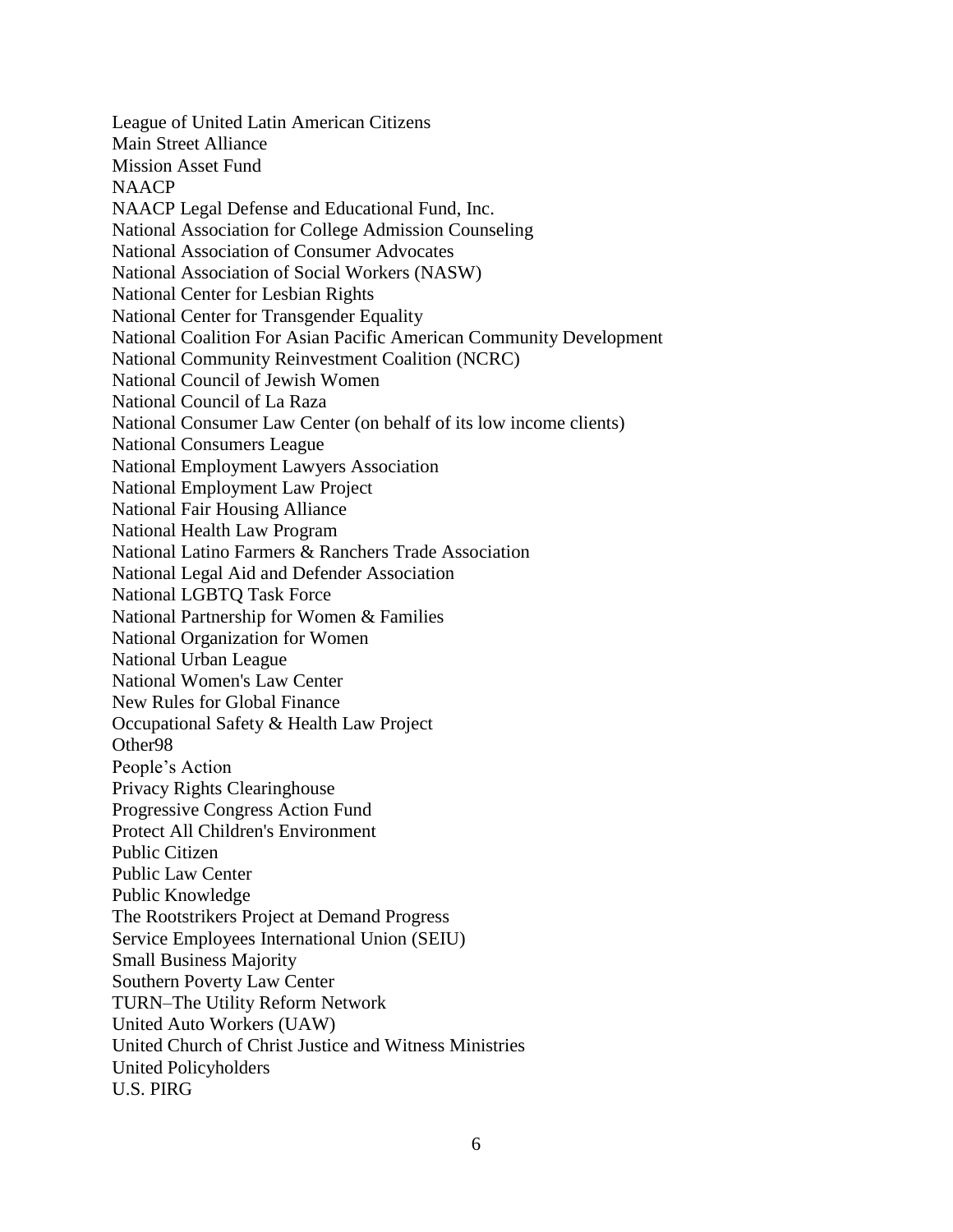League of United Latin American Citizens Main Street Alliance Mission Asset Fund **NAACP** NAACP Legal Defense and Educational Fund, Inc. National Association for College Admission Counseling National Association of Consumer Advocates National Association of Social Workers (NASW) National Center for Lesbian Rights National Center for Transgender Equality National Coalition For Asian Pacific American Community Development National Community Reinvestment Coalition (NCRC) National Council of Jewish Women National Council of La Raza National Consumer Law Center (on behalf of its low income clients) National Consumers League National Employment Lawyers Association National Employment Law Project National Fair Housing Alliance National Health Law Program National Latino Farmers & Ranchers Trade Association National Legal Aid and Defender Association National LGBTQ Task Force National Partnership for Women & Families National Organization for Women National Urban League National Women's Law Center New Rules for Global Finance Occupational Safety & Health Law Project Other98 People's Action Privacy Rights Clearinghouse Progressive Congress Action Fund Protect All Children's Environment Public Citizen Public Law Center Public Knowledge The Rootstrikers Project at Demand Progress Service Employees International Union (SEIU) Small Business Majority Southern Poverty Law Center TURN–The Utility Reform Network United Auto Workers (UAW) United Church of Christ Justice and Witness Ministries United Policyholders U.S. PIRG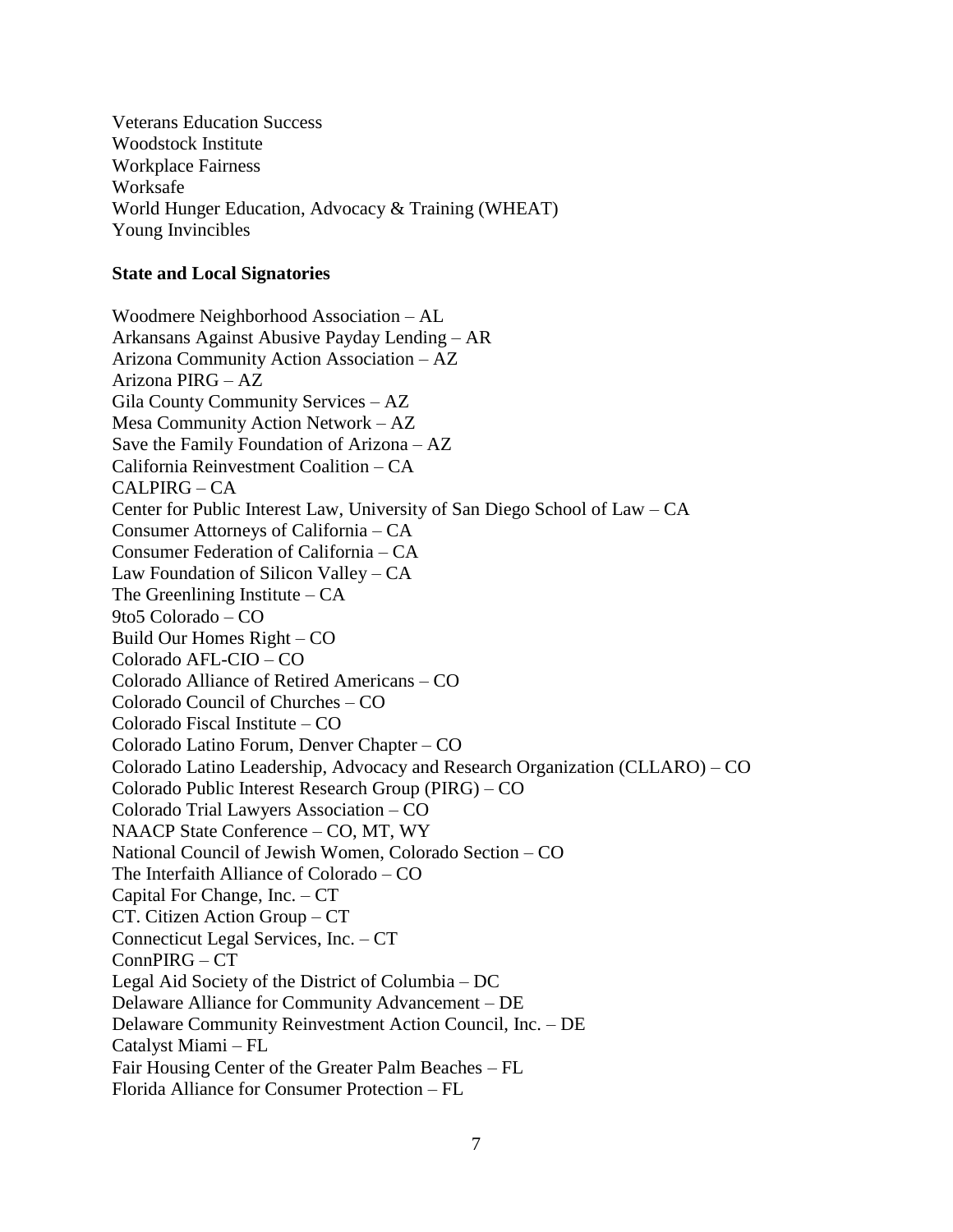Veterans Education Success Woodstock Institute Workplace Fairness Worksafe World Hunger Education, Advocacy & Training (WHEAT) Young Invincibles

#### **State and Local Signatories**

Woodmere Neighborhood Association – AL Arkansans Against Abusive Payday Lending – AR Arizona Community Action Association – AZ Arizona PIRG – AZ Gila County Community Services – AZ Mesa Community Action Network – AZ Save the Family Foundation of Arizona – AZ California Reinvestment Coalition – CA  $CALPIRG - CA$ Center for Public Interest Law, University of San Diego School of Law – CA Consumer Attorneys of California – CA Consumer Federation of California – CA Law Foundation of Silicon Valley – CA The Greenlining Institute – CA 9to5 Colorado – CO Build Our Homes Right – CO Colorado AFL-CIO – CO Colorado Alliance of Retired Americans – CO Colorado Council of Churches – CO Colorado Fiscal Institute – CO Colorado Latino Forum, Denver Chapter – CO Colorado Latino Leadership, Advocacy and Research Organization (CLLARO) – CO Colorado Public Interest Research Group (PIRG) – CO Colorado Trial Lawyers Association – CO NAACP State Conference – CO, MT, WY National Council of Jewish Women, Colorado Section – CO The Interfaith Alliance of Colorado – CO Capital For Change, Inc. – CT CT. Citizen Action Group – CT Connecticut Legal Services, Inc. – CT ConnPIRG – CT Legal Aid Society of the District of Columbia – DC Delaware Alliance for Community Advancement – DE Delaware Community Reinvestment Action Council, Inc. – DE Catalyst Miami – FL Fair Housing Center of the Greater Palm Beaches – FL Florida Alliance for Consumer Protection – FL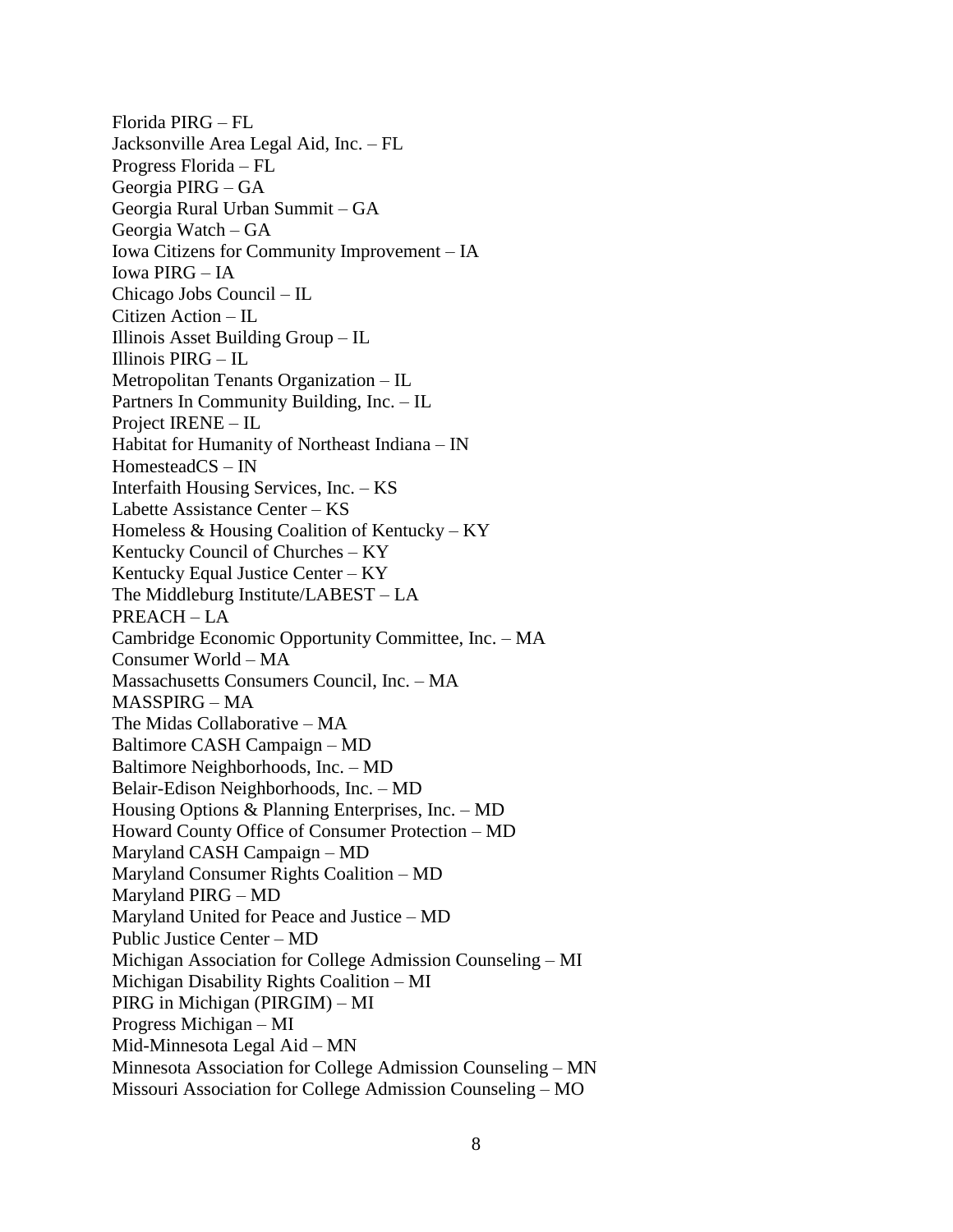Florida PIRG – FL Jacksonville Area Legal Aid, Inc. – FL Progress Florida – FL Georgia PIRG – GA Georgia Rural Urban Summit – GA Georgia Watch – GA Iowa Citizens for Community Improvement – IA Iowa PIRG – IA Chicago Jobs Council – IL Citizen Action – IL Illinois Asset Building Group – IL Illinois PIRG – IL Metropolitan Tenants Organization – IL Partners In Community Building, Inc. – IL Project IRENE – IL Habitat for Humanity of Northeast Indiana – IN HomesteadCS – IN Interfaith Housing Services, Inc. – KS Labette Assistance Center – KS Homeless  $&$  Housing Coalition of Kentucky – KY Kentucky Council of Churches – KY Kentucky Equal Justice Center – KY The Middleburg Institute/LABEST – LA PREACH – LA Cambridge Economic Opportunity Committee, Inc. – MA Consumer World – MA Massachusetts Consumers Council, Inc. – MA MASSPIRG – MA The Midas Collaborative – MA Baltimore CASH Campaign – MD Baltimore Neighborhoods, Inc. – MD Belair-Edison Neighborhoods, Inc. – MD Housing Options & Planning Enterprises, Inc. – MD Howard County Office of Consumer Protection – MD Maryland CASH Campaign – MD Maryland Consumer Rights Coalition – MD Maryland PIRG – MD Maryland United for Peace and Justice – MD Public Justice Center – MD Michigan Association for College Admission Counseling – MI Michigan Disability Rights Coalition – MI PIRG in Michigan (PIRGIM) – MI Progress Michigan – MI Mid-Minnesota Legal Aid – MN Minnesota Association for College Admission Counseling – MN Missouri Association for College Admission Counseling – MO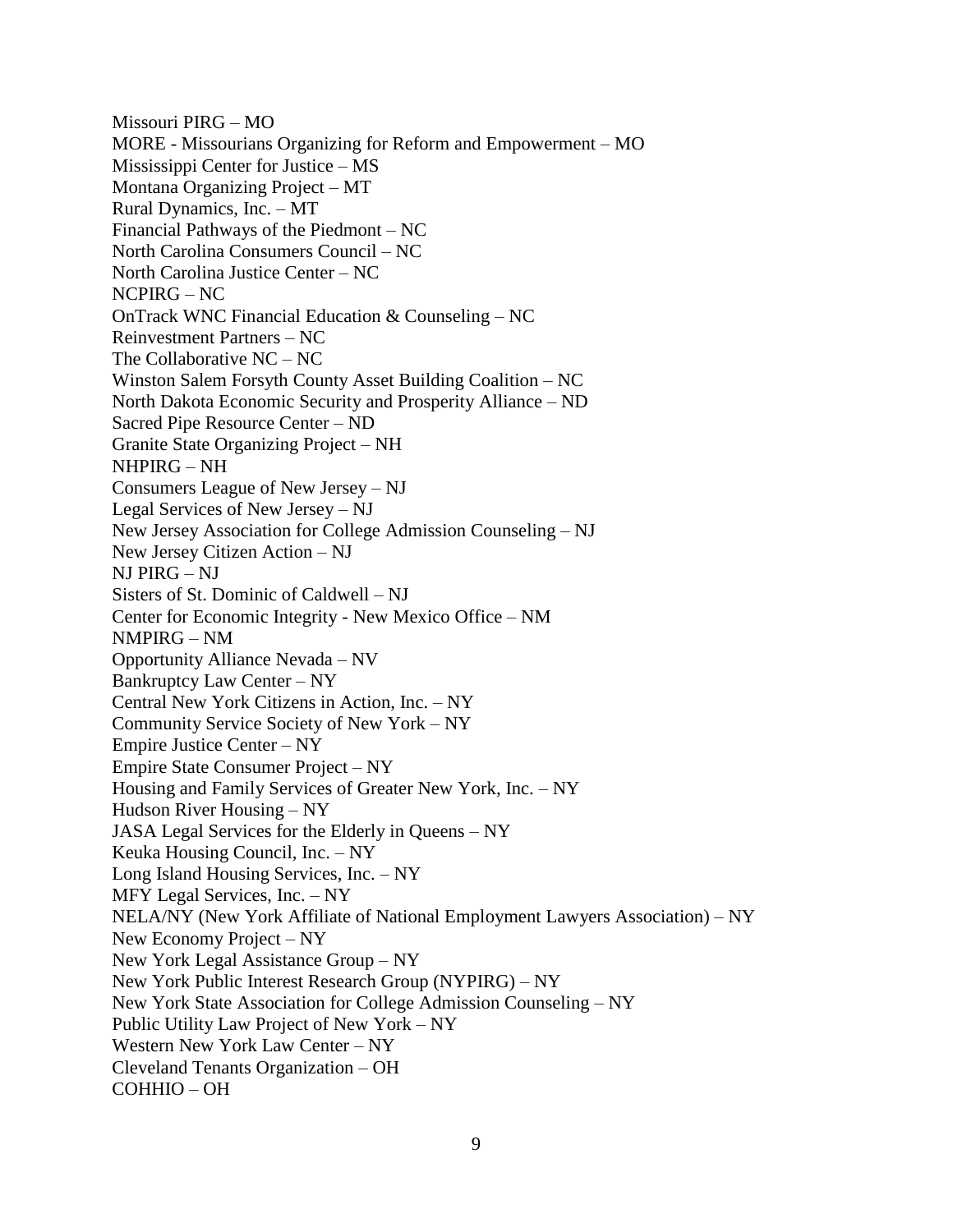Missouri PIRG – MO MORE - Missourians Organizing for Reform and Empowerment – MO Mississippi Center for Justice – MS Montana Organizing Project – MT Rural Dynamics, Inc. – MT Financial Pathways of the Piedmont – NC North Carolina Consumers Council – NC North Carolina Justice Center – NC NCPIRG – NC OnTrack WNC Financial Education & Counseling – NC Reinvestment Partners – NC The Collaborative NC – NC Winston Salem Forsyth County Asset Building Coalition – NC North Dakota Economic Security and Prosperity Alliance – ND Sacred Pipe Resource Center – ND Granite State Organizing Project – NH NHPIRG – NH Consumers League of New Jersey – NJ Legal Services of New Jersey – NJ New Jersey Association for College Admission Counseling – NJ New Jersey Citizen Action – NJ NJ PIRG – NJ Sisters of St. Dominic of Caldwell – NJ Center for Economic Integrity - New Mexico Office – NM NMPIRG – NM Opportunity Alliance Nevada – NV Bankruptcy Law Center – NY Central New York Citizens in Action, Inc. – NY Community Service Society of New York – NY Empire Justice Center – NY Empire State Consumer Project – NY Housing and Family Services of Greater New York, Inc. – NY Hudson River Housing – NY JASA Legal Services for the Elderly in Queens – NY Keuka Housing Council, Inc. – NY Long Island Housing Services, Inc. – NY MFY Legal Services, Inc. – NY NELA/NY (New York Affiliate of National Employment Lawyers Association) – NY New Economy Project – NY New York Legal Assistance Group – NY New York Public Interest Research Group (NYPIRG) – NY New York State Association for College Admission Counseling – NY Public Utility Law Project of New York – NY Western New York Law Center – NY Cleveland Tenants Organization – OH COHHIO – OH